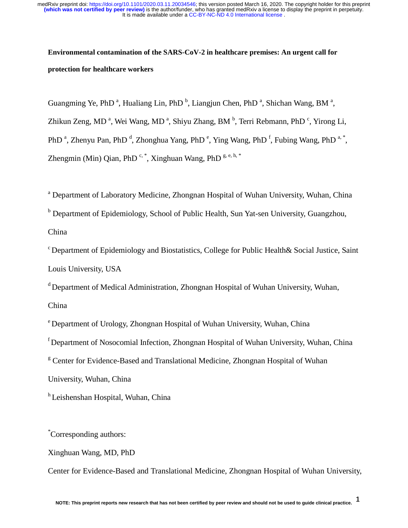# **Environmental contamination of the SARS-CoV-2 in healthcare premises: An urgent call for protection for healthcare workers**

Guangming Ye, PhD<sup>a</sup>, Hualiang Lin, PhD<sup>b</sup>, Liangjun Chen, PhD<sup>a</sup>, Shichan Wang, BM<sup>a</sup>,

Zhikun Zeng, MD<sup>a</sup>, Wei Wang, MD<sup>a</sup>, Shiyu Zhang, BM<sup>b</sup>, Terri Rebmann, PhD<sup>c</sup>, Yirong Li,

PhD<sup>a</sup>, Zhenyu Pan, PhD<sup>d</sup>, Zhonghua Yang, PhD<sup>e</sup>, Ying Wang, PhD<sup>f</sup>, Fubing Wang, PhD<sup>a,\*</sup>,

Zhengmin (Min) Qian, PhD<sup>c,\*</sup>, Xinghuan Wang, PhD<sup>g,e,h,\*</sup>

<sup>a</sup> Department of Laboratory Medicine, Zhongnan Hospital of Wuhan University, Wuhan, China

<sup>b</sup> Department of Epidemiology, School of Public Health, Sun Yat-sen University, Guangzhou, China

c Department of Epidemiology and Biostatistics, College for Public Health& Social Justice, Saint Louis University, USA

d Department of Medical Administration, Zhongnan Hospital of Wuhan University, Wuhan,

China

e Department of Urology, Zhongnan Hospital of Wuhan University, Wuhan, China

f Department of Nosocomial Infection, Zhongnan Hospital of Wuhan University, Wuhan, China

<sup>g</sup> Center for Evidence-Based and Translational Medicine, Zhongnan Hospital of Wuhan

University, Wuhan, China

<sup>h</sup> Leishenshan Hospital, Wuhan, China

\* Corresponding authors:

Xinghuan Wang, MD, PhD

Center for Evidence-Based and Translational Medicine, Zhongnan Hospital of Wuhan University,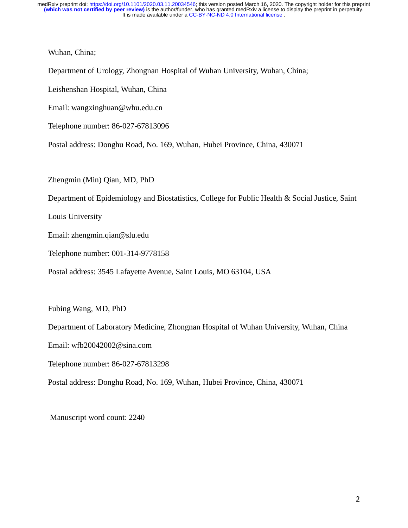Wuhan, China;

Department of Urology, Zhongnan Hospital of Wuhan University, Wuhan, China;

Leishenshan Hospital, Wuhan, China

Email: wangxinghuan@whu.edu.cn

Telephone number: 86-027-67813096

Postal address: Donghu Road, No. 169, Wuhan, Hubei Province, China, 430071

Zhengmin (Min) Qian, MD, PhD

Department of Epidemiology and Biostatistics, College for Public Health & Social Justice, Saint

Louis University

Email: zhengmin.qian@slu.edu

Telephone number: 001-314-9778158

Postal address: 3545 Lafayette Avenue, Saint Louis, MO 63104, USA

Fubing Wang, MD, PhD

Department of Laboratory Medicine, Zhongnan Hospital of Wuhan University, Wuhan, China

Email: wfb20042002@sina.com

Telephone number: 86-027-67813298

Postal address: Donghu Road, No. 169, Wuhan, Hubei Province, China, 430071

Manuscript word count: 2240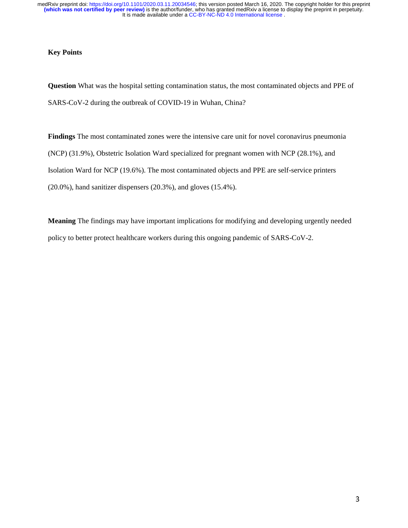# **Key Points**

**Question** What was the hospital setting contamination status, the most contaminated objects and PPE of SARS-CoV-2 during the outbreak of COVID-19 in Wuhan, China?

**Findings** The most contaminated zones were the intensive care unit for novel coronavirus pneumonia (NCP) (31.9%), Obstetric Isolation Ward specialized for pregnant women with NCP (28.1%), and Isolation Ward for NCP (19.6%). The most contaminated objects and PPE are self-service printers (20.0%), hand sanitizer dispensers (20.3%), and gloves (15.4%).

**Meaning** The findings may have important implications for modifying and developing urgently needed policy to better protect healthcare workers during this ongoing pandemic of SARS-CoV-2.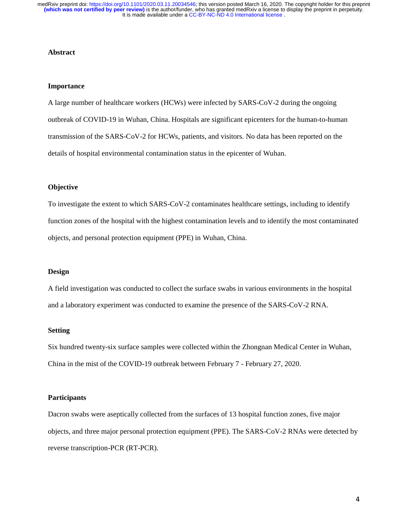#### **Abstract**

#### **Importance**

A large number of healthcare workers (HCWs) were infected by SARS-CoV-2 during the ongoing outbreak of COVID-19 in Wuhan, China. Hospitals are significant epicenters for the human-to-human transmission of the SARS-CoV-2 for HCWs, patients, and visitors. No data has been reported on the details of hospital environmental contamination status in the epicenter of Wuhan.

## **Objective**

To investigate the extent to which SARS-CoV-2 contaminates healthcare settings, including to identify function zones of the hospital with the highest contamination levels and to identify the most contaminated objects, and personal protection equipment (PPE) in Wuhan, China.

## **Design**

A field investigation was conducted to collect the surface swabs in various environments in the hospital and a laboratory experiment was conducted to examine the presence of the SARS-CoV-2 RNA.

# **Setting**

Six hundred twenty-six surface samples were collected within the Zhongnan Medical Center in Wuhan, China in the mist of the COVID-19 outbreak between February 7 - February 27, 2020.

#### **Participants**

Dacron swabs were aseptically collected from the surfaces of 13 hospital function zones, five major objects, and three major personal protection equipment (PPE). The SARS-CoV-2 RNAs were detected by reverse transcription-PCR (RT-PCR).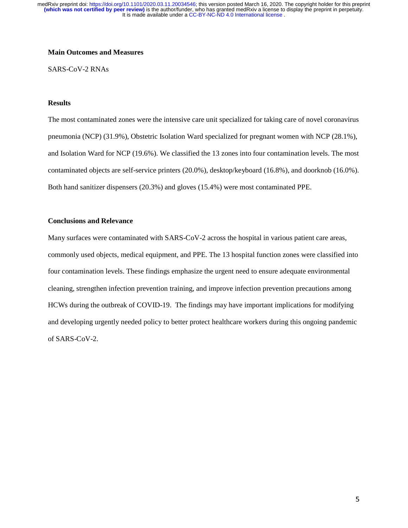# **Main Outcomes and Measures**

SARS-CoV-2 RNAs

# **Results**

The most contaminated zones were the intensive care unit specialized for taking care of novel coronavirus pneumonia (NCP) (31.9%), Obstetric Isolation Ward specialized for pregnant women with NCP (28.1%), and Isolation Ward for NCP (19.6%). We classified the 13 zones into four contamination levels. The most contaminated objects are self-service printers (20.0%), desktop/keyboard (16.8%), and doorknob (16.0%). Both hand sanitizer dispensers (20.3%) and gloves (15.4%) were most contaminated PPE.

## **Conclusions and Relevance**

Many surfaces were contaminated with SARS-CoV-2 across the hospital in various patient care areas, commonly used objects, medical equipment, and PPE. The 13 hospital function zones were classified into four contamination levels. These findings emphasize the urgent need to ensure adequate environmental cleaning, strengthen infection prevention training, and improve infection prevention precautions among HCWs during the outbreak of COVID-19. The findings may have important implications for modifying and developing urgently needed policy to better protect healthcare workers during this ongoing pandemic of SARS-CoV-2.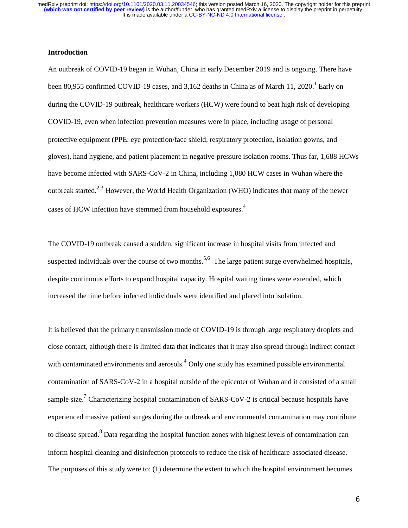## **Introduction**

An outbreak of COVID-19 began in Wuhan, China in early December 2019 and is ongoing. There have been 80,955 confirmed COVID-19 cases, and 3,162 deaths in China as of March 11, 2020.<sup>1</sup> Early on during the COVID-19 outbreak, healthcare workers (HCW) were found to beat high risk of developing COVID-19, even when infection prevention measures were in place, including usage of personal protective equipment (PPE: eye protection/face shield, respiratory protection, isolation gowns, and gloves), hand hygiene, and patient placement in negative-pressure isolation rooms. Thus far, 1,688 HCWs have become infected with SARS-CoV-2 in China, including 1,080 HCW cases in Wuhan where the outbreak started.<sup>2,3</sup> However, the World Health Organization (WHO) indicates that many of the newer cases of HCW infection have stemmed from household exposures.<sup>4</sup>

The COVID-19 outbreak caused a sudden, significant increase in hospital visits from infected and suspected individuals over the course of two months.<sup>5,6</sup> The large patient surge overwhelmed hospitals, despite continuous efforts to expand hospital capacity. Hospital waiting times were extended, which increased the time before infected individuals were identified and placed into isolation.

It is believed that the primary transmission mode of COVID-19 is through large respiratory droplets and close contact, although there is limited data that indicates that it may also spread through indirect contact with contaminated environments and aerosols.<sup>4</sup> Only one study has examined possible environmental contamination of SARS-CoV-2 in a hospital outside of the epicenter of Wuhan and it consisted of a small sample size.<sup>7</sup> Characterizing hospital contamination of SARS-CoV-2 is critical because hospitals have experienced massive patient surges during the outbreak and environmental contamination may contribute to disease spread.<sup>8</sup> Data regarding the hospital function zones with highest levels of contamination can inform hospital cleaning and disinfection protocols to reduce the risk of healthcare-associated disease. The purposes of this study were to: (1) determine the extent to which the hospital environment becomes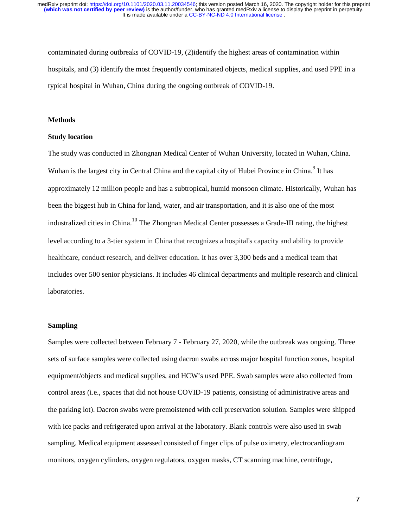contaminated during outbreaks of COVID-19, (2)identify the highest areas of contamination within hospitals, and (3) identify the most frequently contaminated objects, medical supplies, and used PPE in a typical hospital in Wuhan, China during the ongoing outbreak of COVID-19.

#### **Methods**

#### **Study location**

The study was conducted in Zhongnan Medical Center of Wuhan University, located in Wuhan, China. Wuhan is the largest city in Central China and the capital city of Hubei Province in China.<sup>9</sup> It has approximately 12 million people and has a subtropical, humid monsoon climate. Historically, Wuhan has been the biggest hub in China for land, water, and air transportation, and it is also one of the most industralized cities in China.<sup>10</sup> The Zhongnan Medical Center possesses a Grade-III rating, the highest level according to a 3-tier system in China that recognizes a hospital's capacity and ability to provide healthcare, conduct research, and deliver education. It has over 3,300 beds and a medical team that includes over 500 senior physicians. It includes 46 clinical departments and multiple research and clinical laboratories.

### **Sampling**

Samples were collected between February 7 - February 27, 2020, while the outbreak was ongoing. Three sets of surface samples were collected using dacron swabs across major hospital function zones, hospital equipment/objects and medical supplies, and HCW's used PPE. Swab samples were also collected from control areas (i.e., spaces that did not house COVID-19 patients, consisting of administrative areas and the parking lot). Dacron swabs were premoistened with cell preservation solution. Samples were shipped with ice packs and refrigerated upon arrival at the laboratory. Blank controls were also used in swab sampling. Medical equipment assessed consisted of finger clips of pulse oximetry, electrocardiogram monitors, oxygen cylinders, oxygen regulators, oxygen masks, CT scanning machine, centrifuge,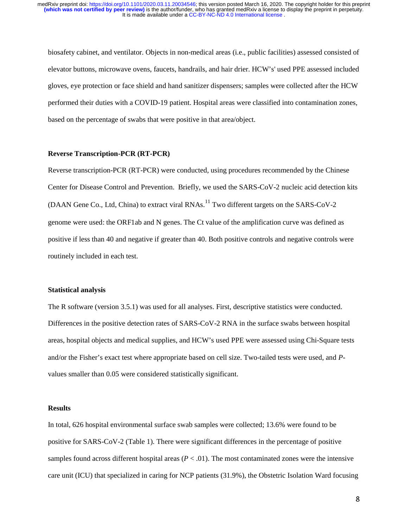biosafety cabinet, and ventilator. Objects in non-medical areas (i.e., public facilities) assessed consisted of elevator buttons, microwave ovens, faucets, handrails, and hair drier. HCW's' used PPE assessed included gloves, eye protection or face shield and hand sanitizer dispensers; samples were collected after the HCW performed their duties with a COVID-19 patient. Hospital areas were classified into contamination zones, based on the percentage of swabs that were positive in that area/object.

## **Reverse Transcription-PCR (RT-PCR)**

Reverse transcription-PCR (RT-PCR) were conducted, using procedures recommended by the Chinese Center for Disease Control and Prevention. Briefly, we used the SARS-CoV-2 nucleic acid detection kits (DAAN Gene Co., Ltd, China) to extract viral RNAs.<sup>11</sup> Two different targets on the SARS-CoV-2 genome were used: the ORF1ab and N genes. The Ct value of the amplification curve was defined as positive if less than 40 and negative if greater than 40. Both positive controls and negative controls were routinely included in each test.

### **Statistical analysis**

The R software (version 3.5.1) was used for all analyses. First, descriptive statistics were conducted. Differences in the positive detection rates of SARS-CoV-2 RNA in the surface swabs between hospital areas, hospital objects and medical supplies, and HCW's used PPE were assessed using Chi-Square tests and/or the Fisher's exact test where appropriate based on cell size. Two-tailed tests were used, and *P*values smaller than 0.05 were considered statistically significant.

#### **Results**

In total, 626 hospital environmental surface swab samples were collected; 13.6% were found to be positive for SARS-CoV-2 (Table 1). There were significant differences in the percentage of positive samples found across different hospital areas  $(P < .01)$ . The most contaminated zones were the intensive care unit (ICU) that specialized in caring for NCP patients (31.9%), the Obstetric Isolation Ward focusing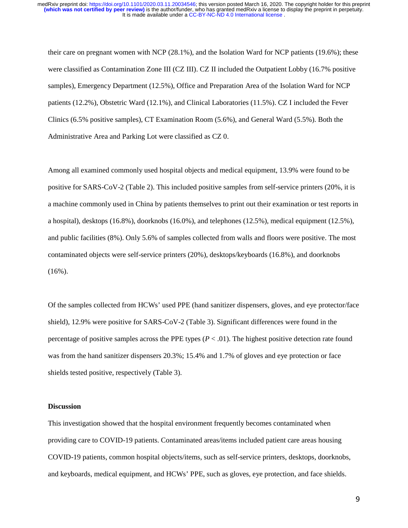their care on pregnant women with NCP (28.1%), and the Isolation Ward for NCP patients (19.6%); these were classified as Contamination Zone III (CZ III). CZ II included the Outpatient Lobby (16.7% positive samples), Emergency Department (12.5%), Office and Preparation Area of the Isolation Ward for NCP patients (12.2%), Obstetric Ward (12.1%), and Clinical Laboratories (11.5%). CZ I included the Fever Clinics (6.5% positive samples), CT Examination Room (5.6%), and General Ward (5.5%). Both the Administrative Area and Parking Lot were classified as CZ 0.

Among all examined commonly used hospital objects and medical equipment, 13.9% were found to be positive for SARS-CoV-2 (Table 2). This included positive samples from self-service printers (20%, it is a machine commonly used in China by patients themselves to print out their examination or test reports in a hospital), desktops (16.8%), doorknobs (16.0%), and telephones (12.5%), medical equipment (12.5%), and public facilities (8%). Only 5.6% of samples collected from walls and floors were positive. The most contaminated objects were self-service printers (20%), desktops/keyboards (16.8%), and doorknobs (16%).

Of the samples collected from HCWs' used PPE (hand sanitizer dispensers, gloves, and eye protector/face shield), 12.9% were positive for SARS-CoV-2 (Table 3). Significant differences were found in the percentage of positive samples across the PPE types  $(P < .01)$ . The highest positive detection rate found was from the hand sanitizer dispensers 20.3%; 15.4% and 1.7% of gloves and eye protection or face shields tested positive, respectively (Table 3).

### **Discussion**

This investigation showed that the hospital environment frequently becomes contaminated when providing care to COVID-19 patients. Contaminated areas/items included patient care areas housing COVID-19 patients, common hospital objects/items, such as self-service printers, desktops, doorknobs, and keyboards, medical equipment, and HCWs' PPE, such as gloves, eye protection, and face shields.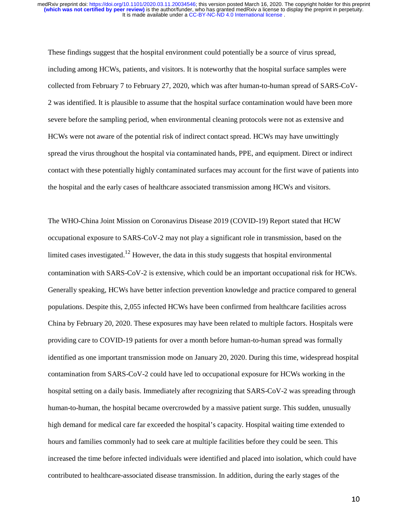These findings suggest that the hospital environment could potentially be a source of virus spread, including among HCWs, patients, and visitors. It is noteworthy that the hospital surface samples were collected from February 7 to February 27, 2020, which was after human-to-human spread of SARS-CoV-2 was identified. It is plausible to assume that the hospital surface contamination would have been more severe before the sampling period, when environmental cleaning protocols were not as extensive and HCWs were not aware of the potential risk of indirect contact spread. HCWs may have unwittingly spread the virus throughout the hospital via contaminated hands, PPE, and equipment. Direct or indirect contact with these potentially highly contaminated surfaces may account for the first wave of patients into the hospital and the early cases of healthcare associated transmission among HCWs and visitors.

The WHO-China Joint Mission on Coronavirus Disease 2019 (COVID-19) Report stated that HCW occupational exposure to SARS-CoV-2 may not play a significant role in transmission, based on the limited cases investigated.<sup>12</sup> However, the data in this study suggests that hospital environmental contamination with SARS-CoV-2 is extensive, which could be an important occupational risk for HCWs. Generally speaking, HCWs have better infection prevention knowledge and practice compared to general populations. Despite this, 2,055 infected HCWs have been confirmed from healthcare facilities across China by February 20, 2020. These exposures may have been related to multiple factors. Hospitals were providing care to COVID-19 patients for over a month before human-to-human spread was formally identified as one important transmission mode on January 20, 2020. During this time, widespread hospital contamination from SARS-CoV-2 could have led to occupational exposure for HCWs working in the hospital setting on a daily basis. Immediately after recognizing that SARS-CoV-2 was spreading through human-to-human, the hospital became overcrowded by a massive patient surge. This sudden, unusually high demand for medical care far exceeded the hospital's capacity. Hospital waiting time extended to hours and families commonly had to seek care at multiple facilities before they could be seen. This increased the time before infected individuals were identified and placed into isolation, which could have contributed to healthcare-associated disease transmission. In addition, during the early stages of the

10 million and the control of the control of the control of the control of the control of the control of the c<br>10 million and the control of the control of the control of the control of the control of the control of the c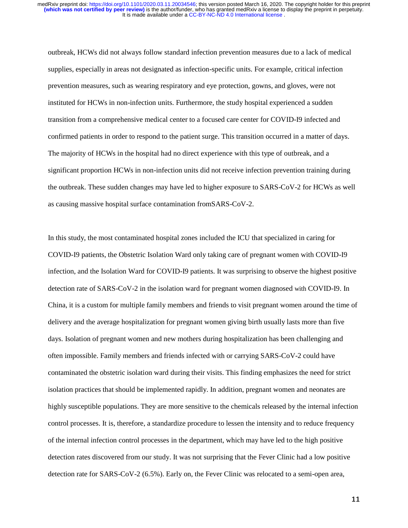outbreak, HCWs did not always follow standard infection prevention measures due to a lack of medical supplies, especially in areas not designated as infection-specific units. For example, critical infection prevention measures, such as wearing respiratory and eye protection, gowns, and gloves, were not instituted for HCWs in non-infection units. Furthermore, the study hospital experienced a sudden transition from a comprehensive medical center to a focused care center for COVID-I9 infected and confirmed patients in order to respond to the patient surge. This transition occurred in a matter of days. The majority of HCWs in the hospital had no direct experience with this type of outbreak, and a significant proportion HCWs in non-infection units did not receive infection prevention training during the outbreak. These sudden changes may have led to higher exposure to SARS-CoV-2 for HCWs as well as causing massive hospital surface contamination fromSARS-CoV-2.

In this study, the most contaminated hospital zones included the ICU that specialized in caring for COVID-I9 patients, the Obstetric Isolation Ward only taking care of pregnant women with COVID-I9 infection, and the Isolation Ward for COVID-I9 patients. It was surprising to observe the highest positive detection rate of SARS-CoV-2 in the isolation ward for pregnant women diagnosed with COVID-I9. In China, it is a custom for multiple family members and friends to visit pregnant women around the time of delivery and the average hospitalization for pregnant women giving birth usually lasts more than five days. Isolation of pregnant women and new mothers during hospitalization has been challenging and often impossible. Family members and friends infected with or carrying SARS-CoV-2 could have contaminated the obstetric isolation ward during their visits. This finding emphasizes the need for strict isolation practices that should be implemented rapidly. In addition, pregnant women and neonates are highly susceptible populations. They are more sensitive to the chemicals released by the internal infection control processes. It is, therefore, a standardize procedure to lessen the intensity and to reduce frequency of the internal infection control processes in the department, which may have led to the high positive detection rates discovered from our study. It was not surprising that the Fever Clinic had a low positive detection rate for SARS-CoV-2 (6.5%). Early on, the Fever Clinic was relocated to a semi-open area,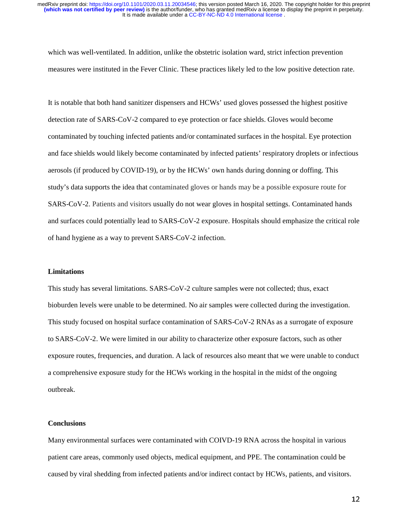which was well-ventilated. In addition, unlike the obstetric isolation ward, strict infection prevention measures were instituted in the Fever Clinic. These practices likely led to the low positive detection rate.

It is notable that both hand sanitizer dispensers and HCWs' used gloves possessed the highest positive detection rate of SARS-CoV-2 compared to eye protection or face shields. Gloves would become contaminated by touching infected patients and/or contaminated surfaces in the hospital. Eye protection and face shields would likely become contaminated by infected patients' respiratory droplets or infectious aerosols (if produced by COVID-19), or by the HCWs' own hands during donning or doffing. This study's data supports the idea that contaminated gloves or hands may be a possible exposure route for SARS-CoV-2. Patients and visitors usually do not wear gloves in hospital settings. Contaminated hands and surfaces could potentially lead to SARS-CoV-2 exposure. Hospitals should emphasize the critical role of hand hygiene as a way to prevent SARS-CoV-2 infection.

## **Limitations**

This study has several limitations. SARS-CoV-2 culture samples were not collected; thus, exact bioburden levels were unable to be determined. No air samples were collected during the investigation. This study focused on hospital surface contamination of SARS-CoV-2 RNAs as a surrogate of exposure to SARS-CoV-2. We were limited in our ability to characterize other exposure factors, such as other exposure routes, frequencies, and duration. A lack of resources also meant that we were unable to conduct a comprehensive exposure study for the HCWs working in the hospital in the midst of the ongoing outbreak.

## **Conclusions**

Many environmental surfaces were contaminated with COIVD-19 RNA across the hospital in various patient care areas, commonly used objects, medical equipment, and PPE. The contamination could be caused by viral shedding from infected patients and/or indirect contact by HCWs, patients, and visitors.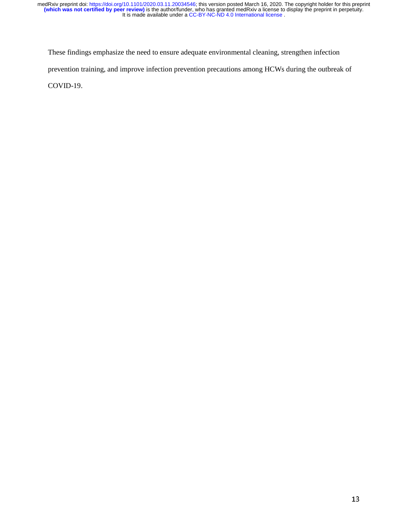These findings emphasize the need to ensure adequate environmental cleaning, strengthen infection prevention training, and improve infection prevention precautions among HCWs during the outbreak of COVID-19.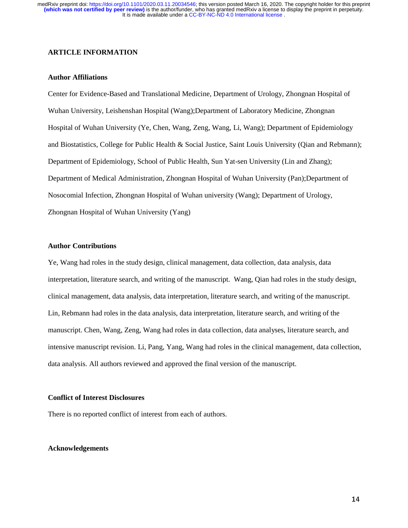## **ARTICLE INFORMATION**

## **Author Affiliations**

Center for Evidence-Based and Translational Medicine, Department of Urology, Zhongnan Hospital of Wuhan University, Leishenshan Hospital (Wang);Department of Laboratory Medicine, Zhongnan Hospital of Wuhan University (Ye, Chen, Wang, Zeng, Wang, Li, Wang); Department of Epidemiology and Biostatistics, College for Public Health & Social Justice, Saint Louis University (Qian and Rebmann); Department of Epidemiology, School of Public Health, Sun Yat-sen University (Lin and Zhang); Department of Medical Administration, Zhongnan Hospital of Wuhan University (Pan);Department of Nosocomial Infection, Zhongnan Hospital of Wuhan university (Wang); Department of Urology, Zhongnan Hospital of Wuhan University (Yang)

## **Author Contributions**

Ye, Wang had roles in the study design, clinical management, data collection, data analysis, data interpretation, literature search, and writing of the manuscript. Wang, Qian had roles in the study design, clinical management, data analysis, data interpretation, literature search, and writing of the manuscript. Lin, Rebmann had roles in the data analysis, data interpretation, literature search, and writing of the manuscript. Chen, Wang, Zeng, Wang had roles in data collection, data analyses, literature search, and intensive manuscript revision. Li, Pang, Yang, Wang had roles in the clinical management, data collection, data analysis. All authors reviewed and approved the final version of the manuscript.

#### **Conflict of Interest Disclosures**

There is no reported conflict of interest from each of authors.

## **Acknowledgements**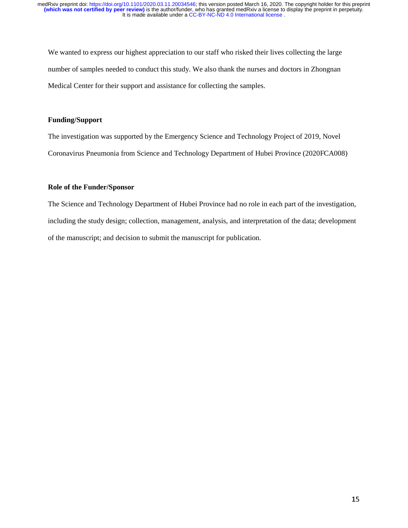We wanted to express our highest appreciation to our staff who risked their lives collecting the large number of samples needed to conduct this study. We also thank the nurses and doctors in Zhongnan Medical Center for their support and assistance for collecting the samples.

## **Funding/Support**

The investigation was supported by the Emergency Science and Technology Project of 2019, Novel Coronavirus Pneumonia from Science and Technology Department of Hubei Province (2020FCA008)

## **Role of the Funder/Sponsor**

The Science and Technology Department of Hubei Province had no role in each part of the investigation, including the study design; collection, management, analysis, and interpretation of the data; development of the manuscript; and decision to submit the manuscript for publication.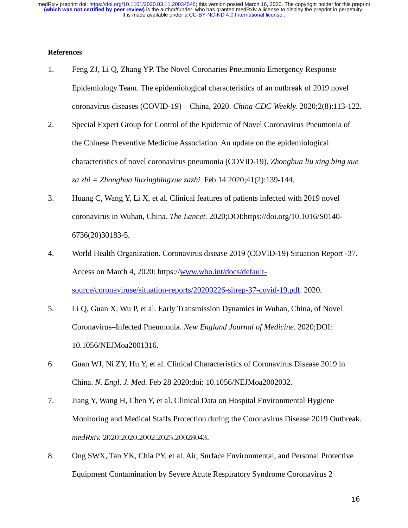# **References**

- 1. Feng ZJ, Li Q, Zhang YP. The Novel Coronaries Pneumonia Emergency Response Epidemiology Team. The epidemiological characteristics of an outbreak of 2019 novel coronavirus diseases (COVID-19) – China, 2020. *China CDC Weekly.* 2020;2(8):113-122.
- 2. Special Expert Group for Control of the Epidemic of Novel Coronavirus Pneumonia of the Chinese Preventive Medicine Association. An update on the epidemiological characteristics of novel coronavirus pneumonia (COVID-19). *Zhonghua liu xing bing xue za zhi = Zhonghua liuxingbingxue zazhi.* Feb 14 2020;41(2):139-144.
- 3. Huang C, Wang Y, Li X, et al. Clinical features of patients infected with 2019 novel coronavirus in Wuhan, China. *The Lancet.* 2020;DOI:https://doi.org/10.1016/S0140- 6736(20)30183-5.
- 4. World Health Organization. Coronavirus disease 2019 (COVID-19) Situation Report -37. Access on March 4, 2020: https://www.who.int/docs/defaultsource/coronaviruse/situation-reports/20200226-sitrep-37-covid-19.pdf. 2020.
- 5. Li Q, Guan X, Wu P, et al. Early Transmission Dynamics in Wuhan, China, of Novel Coronavirus–Infected Pneumonia. *New England Journal of Medicine.* 2020;DOI: 10.1056/NEJMoa2001316.
- 6. Guan WJ, Ni ZY, Hu Y, et al. Clinical Characteristics of Coronavirus Disease 2019 in China. *N. Engl. J. Med.* Feb 28 2020;doi: 10.1056/NEJMoa2002032.
- 7. Jiang Y, Wang H, Chen Y, et al. Clinical Data on Hospital Environmental Hygiene Monitoring and Medical Staffs Protection during the Coronavirus Disease 2019 Outbreak. *medRxiv.* 2020:2020.2002.2025.20028043.
- 8. Ong SWX, Tan YK, Chia PY, et al. Air, Surface Environmental, and Personal Protective Equipment Contamination by Severe Acute Respiratory Syndrome Coronavirus 2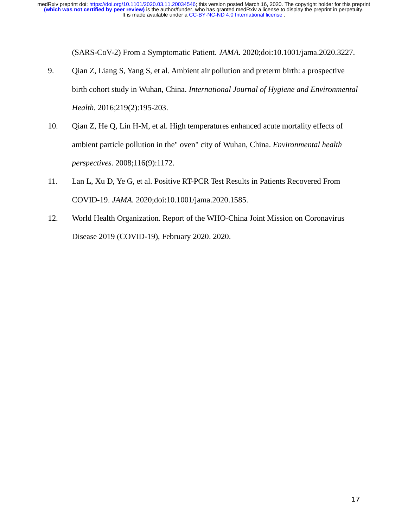(SARS-CoV-2) From a Symptomatic Patient. *JAMA.* 2020;doi:10.1001/jama.2020.3227.

- 9. Qian Z, Liang S, Yang S, et al. Ambient air pollution and preterm birth: a prospective birth cohort study in Wuhan, China. *International Journal of Hygiene and Environmental Health.* 2016;219(2):195-203.
- 10. Qian Z, He Q, Lin H-M, et al. High temperatures enhanced acute mortality effects of ambient particle pollution in the" oven" city of Wuhan, China. *Environmental health perspectives.* 2008;116(9):1172.
- 11. Lan L, Xu D, Ye G, et al. Positive RT-PCR Test Results in Patients Recovered From COVID-19. *JAMA.* 2020;doi:10.1001/jama.2020.1585.
- 12. World Health Organization. Report of the WHO-China Joint Mission on Coronavirus Disease 2019 (COVID-19), February 2020. 2020.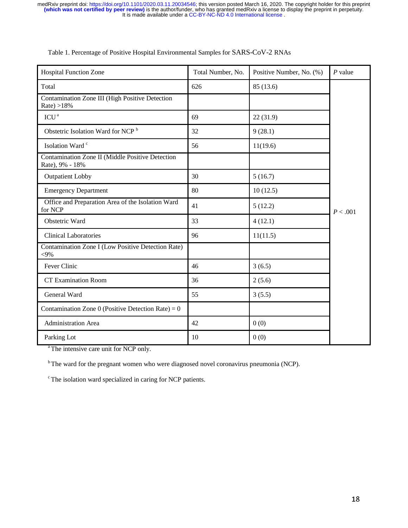| <b>Hospital Function Zone</b>                                       | Total Number, No. | Positive Number, No. (%) | $P$ value |
|---------------------------------------------------------------------|-------------------|--------------------------|-----------|
| Total                                                               | 626               | 85 (13.6)                |           |
| Contamination Zone III (High Positive Detection<br>Rate $>18\%$     |                   |                          |           |
| ICU <sup>a</sup>                                                    | 69                | 22(31.9)                 |           |
| Obstetric Isolation Ward for NCP <sup>b</sup>                       | 32                | 9(28.1)                  |           |
| Isolation Ward c                                                    | 56                | 11(19.6)                 |           |
| Contamination Zone II (Middle Positive Detection<br>Rate), 9% - 18% |                   |                          |           |
| <b>Outpatient Lobby</b>                                             | 30                | 5(16.7)                  |           |
| <b>Emergency Department</b>                                         | 80                | 10(12.5)                 |           |
| Office and Preparation Area of the Isolation Ward<br>for NCP        | 41                | 5(12.2)                  | P < .001  |
| Obstetric Ward                                                      | 33                | 4(12.1)                  |           |
| <b>Clinical Laboratories</b>                                        | 96                | 11(11.5)                 |           |
| Contamination Zone I (Low Positive Detection Rate)<br>$<9\%$        |                   |                          |           |
| Fever Clinic                                                        | 46                | 3(6.5)                   |           |
| <b>CT Examination Room</b>                                          | 36                | 2(5.6)                   |           |
| General Ward                                                        | 55                | 3(5.5)                   |           |
| Contamination Zone 0 (Positive Detection Rate) = $0$                |                   |                          |           |
| Administration Area                                                 | 42                | 0(0)                     |           |
| Parking Lot                                                         | 10                | 0(0)                     |           |

|  |  | Table 1. Percentage of Positive Hospital Environmental Samples for SARS-CoV-2 RNAs |
|--|--|------------------------------------------------------------------------------------|
|  |  |                                                                                    |

<sup>a</sup> The intensive care unit for NCP only.

<sup>b</sup> The ward for the pregnant women who were diagnosed novel coronavirus pneumonia (NCP).

<sup>c</sup> The isolation ward specialized in caring for NCP patients.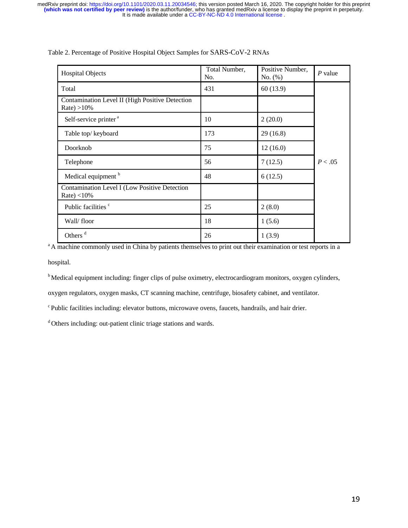| <b>Hospital Objects</b>                                           | Total Number,<br>No. | Positive Number,<br>No. $(\%)$ | $P$ value |
|-------------------------------------------------------------------|----------------------|--------------------------------|-----------|
| Total                                                             | 431                  | 60(13.9)                       |           |
| Contamination Level II (High Positive Detection<br>Rate $) > 10%$ |                      |                                |           |
| Self-service printer <sup>a</sup>                                 | 10                   | 2(20.0)                        |           |
| Table top/keyboard                                                | 173                  | 29(16.8)                       |           |
| Doorknob                                                          | 75                   | 12(16.0)                       |           |
| Telephone                                                         | 56                   | 7(12.5)                        | P < .05   |
| Medical equipment <sup>b</sup>                                    | 48                   | 6(12.5)                        |           |
| Contamination Level I (Low Positive Detection<br>Rate $)$ < 10%   |                      |                                |           |
| Public facilities <sup>c</sup>                                    | 25                   | 2(8.0)                         |           |
| Wall/floor                                                        | 18                   | 1(5.6)                         |           |
| Others <sup>d</sup>                                               | 26                   | 1(3.9)                         |           |

Table 2. Percentage of Positive Hospital Object Samples for SARS-CoV-2 RNAs

<sup>a</sup> A machine commonly used in China by patients themselves to print out their examination or test reports in a

hospital.

<sup>b</sup> Medical equipment including: finger clips of pulse oximetry, electrocardiogram monitors, oxygen cylinders,

oxygen regulators, oxygen masks, CT scanning machine, centrifuge, biosafety cabinet, and ventilator.

<sup>c</sup> Public facilities including: elevator buttons, microwave ovens, faucets, handrails, and hair drier.

<sup>d</sup> Others including: out-patient clinic triage stations and wards.